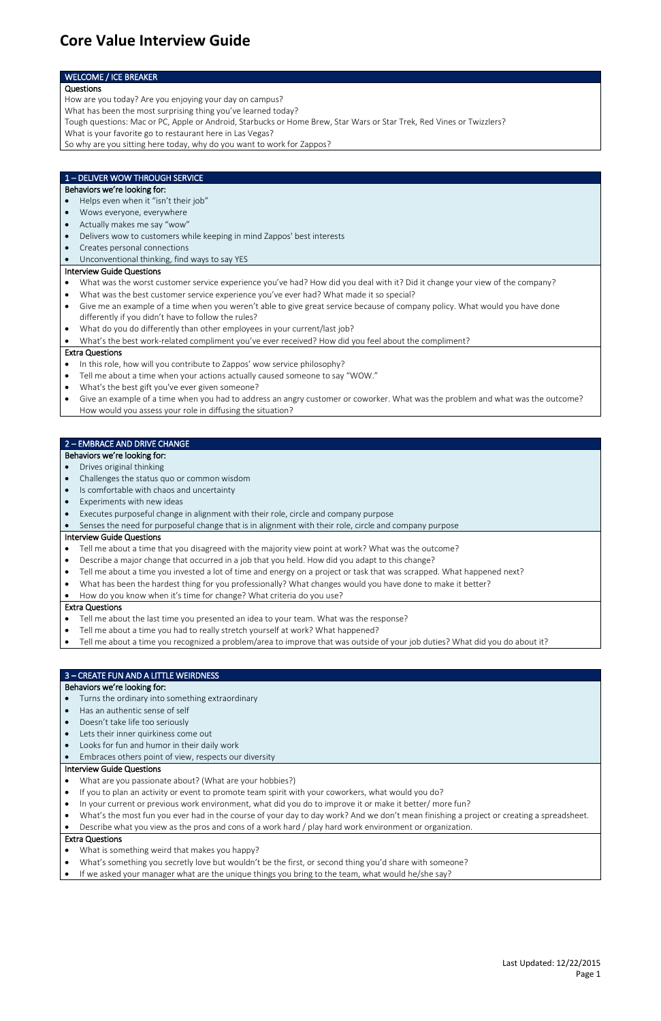Last Updated: 12/22/2015 Page 1

## WELCOME / ICE BREAKER

## Questions

How are you today? Are you enjoying your day on campus?

What has been the most surprising thing you've learned today?

Tough questions: Mac or PC, Apple or Android, Starbucks or Home Brew, Star Wars or Star Trek, Red Vines or Twizzlers?

What is your favorite go to restaurant here in Las Vegas?

So why are you sitting here today, why do you want to work for Zappos?

## 1 – DELIVER WOW THROUGH SERVICE

## Behaviors we're looking for:

- Helps even when it "isn't their job"
- Wows everyone, everywhere
- Actually makes me say "wow"
- Delivers wow to customers while keeping in mind Zappos' best interests
- Creates personal connections
- Unconventional thinking, find ways to say YES

## Interview Guide Questions

- In this role, how will you contribute to Zappos' wow service philosophy?
- Tell me about a time when your actions actually caused someone to say "WOW."
- What's the best gift you've ever given someone?
- Give an example of a time when you had to address an angry customer or coworker. What was the problem and what was the outcome? How would you assess your role in diffusing the situation?
- What was the worst customer service experience you've had? How did you deal with it? Did it change your view of the company?
- What was the best customer service experience you've ever had? What made it so special?
- Give me an example of a time when you weren't able to give great service because of company policy. What would you have done differently if you didn't have to follow the rules?
- What do you do differently than other employees in your current/last job?
- What's the best work-related compliment you've ever received? How did you feel about the compliment?

## Extra Questions

- Turns the ordinary into something extraordinary
- Has an authentic sense of self
- Doesn't take life too seriously
- Lets their inner quirkiness come out
- Looks for fun and humor in their daily work
- 
- Embraces others point of view, respects our diversity

# 2 – EMBRACE AND DRIVE CHANGE

## Behaviors we're looking for:

- Drives original thinking
- Challenges the status quo or common wisdom
- Is comfortable with chaos and uncertainty
- Experiments with new ideas
- Executes purposeful change in alignment with their role, circle and company purpose
- Senses the need for purposeful change that is in alignment with their role, circle and company purpose

## Interview Guide Questions

- Tell me about a time that you disagreed with the majority view point at work? What was the outcome?
- Describe a major change that occurred in a job that you held. How did you adapt to this change?
- Tell me about a time you invested a lot of time and energy on a project or task that was scrapped. What happened next?
- What has been the hardest thing for you professionally? What changes would you have done to make it better?

## • How do you know when it's time for change? What criteria do you use?

## Extra Questions

- Tell me about the last time you presented an idea to your team. What was the response?
- Tell me about a time you had to really stretch yourself at work? What happened?
- Tell me about a time you recognized a problem/area to improve that was outside of your job duties? What did you do about it?

# 3 – CREATE FUN AND A LITTLE WEIRDNESS

## Behaviors we're looking for:

## Interview Guide Questions

- What are you passionate about? (What are your hobbies?)
- If you to plan an activity or event to promote team spirit with your coworkers, what would you do?
- In your current or previous work environment, what did you do to improve it or make it better/ more fun?
- What's the most fun you ever had in the course of your day to day work? And we don't mean finishing a project or creating a spreadsheet.
- Describe what you view as the pros and cons of a work hard / play hard work environment or organization.

- What is something weird that makes you happy?
- What's something you secretly love but wouldn't be the first, or second thing you'd share with someone?
- If we asked your manager what are the unique things you bring to the team, what would he/she say?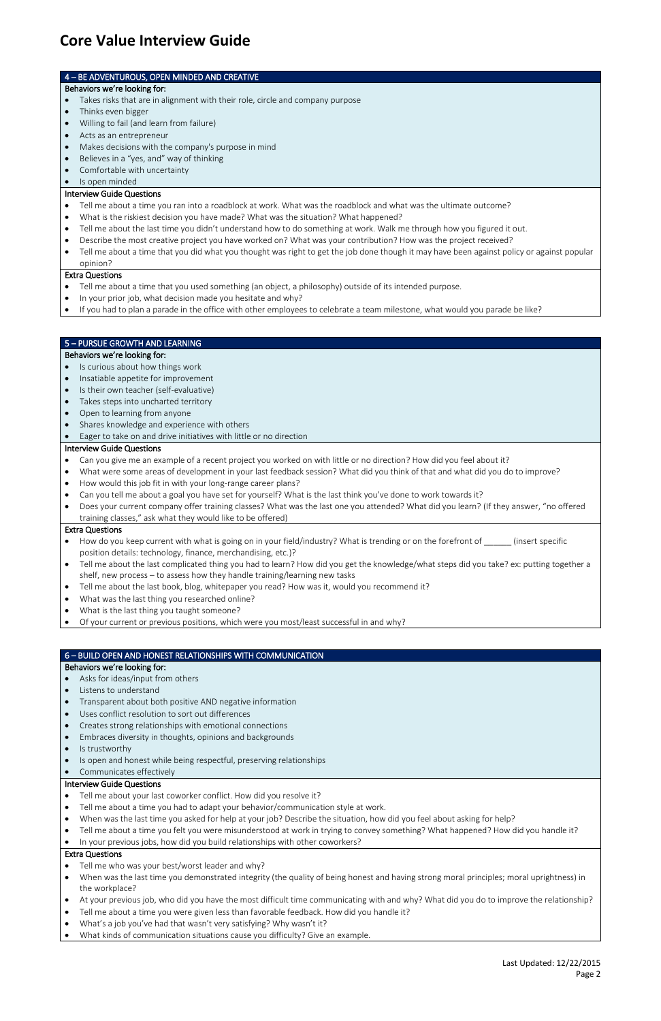Last Updated: 12/22/2015 Page 2

# 4 – BE ADVENTUROUS, OPEN MINDED AND CREATIVE

#### Behaviors we're looking for:

- Takes risks that are in alignment with their role, circle and company purpose
- Thinks even bigger
- Willing to fail (and learn from failure)
- Acts as an entrepreneur
- Makes decisions with the company's purpose in mind
- Believes in a "yes, and" way of thinking
- Comfortable with uncertainty
- Is open minded

## Interview Guide Questions

- Tell me about a time you ran into a roadblock at work. What was the roadblock and what was the ultimate outcome?
- What is the riskiest decision you have made? What was the situation? What happened?
- Tell me about the last time you didn't understand how to do something at work. Walk me through how you figured it out.
- Describe the most creative project you have worked on? What was your contribution? How was the project received?
- Tell me about a time that you did what you thought was right to get the job done though it may have been against policy or against popular opinion?

## Extra Questions

- Tell me about a time that you used something (an object, a philosophy) outside of its intended purpose.
- In your prior job, what decision made you hesitate and why?
- If you had to plan a parade in the office with other employees to celebrate a team milestone, what would you parade be like?

## 5 – PURSUE GROWTH AND LEARNING

## Behaviors we're looking for:

- Is curious about how things work
- Insatiable appetite for improvement
- Is their own teacher (self-evaluative)
- Takes steps into uncharted territory
- Open to learning from anyone
- Shares knowledge and experience with others
- Eager to take on and drive initiatives with little or no direction

## Interview Guide Questions

- Tell me about your last coworker conflict. How did you resolve it?
- Tell me about a time you had to adapt your behavior/communication style at work.
- When was the last time you asked for help at your job? Describe the situation, how did you feel about asking for help?
- Tell me about a time you felt you were misunderstood at work in trying to convey something? What happened? How did you handle it?
- In your previous jobs, how did you build relationships with other coworkers?
- Can you give me an example of a recent project you worked on with little or no direction? How did you feel about it?
- What were some areas of development in your last feedback session? What did you think of that and what did you do to improve?
- How would this job fit in with your long-range career plans?
- Can you tell me about a goal you have set for yourself? What is the last think you've done to work towards it?
- Does your current company offer training classes? What was the last one you attended? What did you learn? (If they answer, "no offered training classes," ask what they would like to be offered)

- Tell me who was your best/worst leader and why?
- When was the last time you demonstrated integrity (the quality of being honest and having strong moral principles; moral uprightness) in the workplace?
- At your previous job, who did you have the most difficult time communicating with and why? What did you do to improve the relationship?
- Tell me about a time you were given less than favorable feedback. How did you handle it?
- What's a job you've had that wasn't very satisfying? Why wasn't it?
- What kinds of communication situations cause you difficulty? Give an example.

# Extra Questions

- How do you keep current with what is going on in your field/industry? What is trending or on the forefront of \_\_\_\_\_\_ (insert specific position details: technology, finance, merchandising, etc.)?
- Tell me about the last complicated thing you had to learn? How did you get the knowledge/what steps did you take? ex: putting together a shelf, new process – to assess how they handle training/learning new tasks
- Tell me about the last book, blog, whitepaper you read? How was it, would you recommend it?
- What was the last thing you researched online?
- What is the last thing you taught someone?
- Of your current or previous positions, which were you most/least successful in and why?

# 6 – BUILD OPEN AND HONEST RELATIONSHIPS WITH COMMUNICATION

# Behaviors we're looking for:

- Asks for ideas/input from others
- Listens to understand
- Transparent about both positive AND negative information
- Uses conflict resolution to sort out differences
- Creates strong relationships with emotional connections
- Embraces diversity in thoughts, opinions and backgrounds
- Is trustworthy
- 
- Is open and honest while being respectful, preserving relationships
- Communicates effectively

## Interview Guide Questions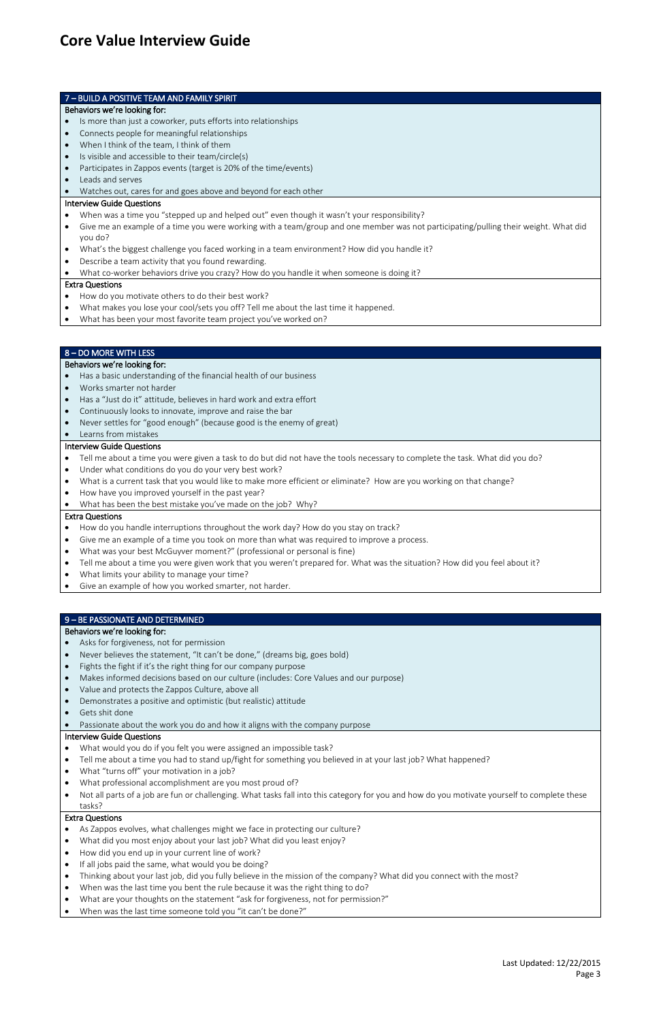Last Updated: 12/22/2015 Page 3

## 7 – BUILD A POSITIVE TEAM AND FAMILY SPIRIT

## Behaviors we're looking for:

- Is more than just a coworker, puts efforts into relationships
- Connects people for meaningful relationships
- When I think of the team, I think of them
- Is visible and accessible to their team/circle(s)
- Participates in Zappos events (target is 20% of the time/events)
- Leads and serves
- Watches out, cares for and goes above and beyond for each other

## Interview Guide Questions

- When was a time you "stepped up and helped out" even though it wasn't your responsibility?
- Give me an example of a time you were working with a team/group and one member was not participating/pulling their weight. What did you do?
- What's the biggest challenge you faced working in a team environment? How did you handle it?
- Describe a team activity that you found rewarding.
- What co-worker behaviors drive you crazy? How do you handle it when someone is doing it?

- Tell me about a time you were given a task to do but did not have the tools necessary to complete the task. What did you do?
- Under what conditions do you do your very best work?
- What is a current task that you would like to make more efficient or eliminate? How are you working on that change?
- How have you improved yourself in the past year?
- What has been the best mistake you've made on the job? Why?

## Extra Questions

- How do you handle interruptions throughout the work day? How do you stay on track?
- Give me an example of a time you took on more than what was required to improve a process.
- What was your best McGuyver moment?" (professional or personal is fine)
- Tell me about a time you were given work that you weren't prepared for. What was the situation? How did you feel about it?
- What limits your ability to manage your time?
- Give an example of how you worked smarter, not harder.
- How do you motivate others to do their best work?
- What makes you lose your cool/sets you off? Tell me about the last time it happened.
- What has been your most favorite team project you've worked on?

## 8 – DO MORE WITH LESS

## Behaviors we're looking for:

- Has a basic understanding of the financial health of our business
- Works smarter not harder
- Has a "Just do it" attitude, believes in hard work and extra effort
- Continuously looks to innovate, improve and raise the bar
- Never settles for "good enough" (because good is the enemy of great)
- Learns from mistakes

- Asks for forgiveness, not for permission
- Never believes the statement, "It can't be done," (dreams big, goes bold)
- Fights the fight if it's the right thing for our company purpose
- Makes informed decisions based on our culture (includes: Core Values and our purpose)
- Value and protects the Zappos Culture, above all
- Demonstrates a positive and optimistic (but realistic) attitude
- Gets shit done
- Passionate about the work you do and how it aligns with the company purpose

## Interview Guide Questions

- As Zappos evolves, what challenges might we face in protecting our culture?
- What did you most enjoy about your last job? What did you least enjoy?
- How did you end up in your current line of work?
- If all jobs paid the same, what would you be doing?
- Thinking about your last job, did you fully believe in the mission of the company? What did you connect with the most?
- When was the last time you bent the rule because it was the right thing to do?
- What are your thoughts on the statement "ask for forgiveness, not for permission?"
- When was the last time someone told you "it can't be done?"

## Extra Questions

# 9 – BE PASSIONATE AND DETERMINED

## Behaviors we're looking for:

# Interview Guide Questions

- What would you do if you felt you were assigned an impossible task?
- 
- Tell me about a time you had to stand up/fight for something you believed in at your last job? What happened?
- What "turns off" your motivation in a job?
- What professional accomplishment are you most proud of?
- Not all parts of a job are fun or challenging. What tasks fall into this category for you and how do you motivate yourself to complete these tasks?